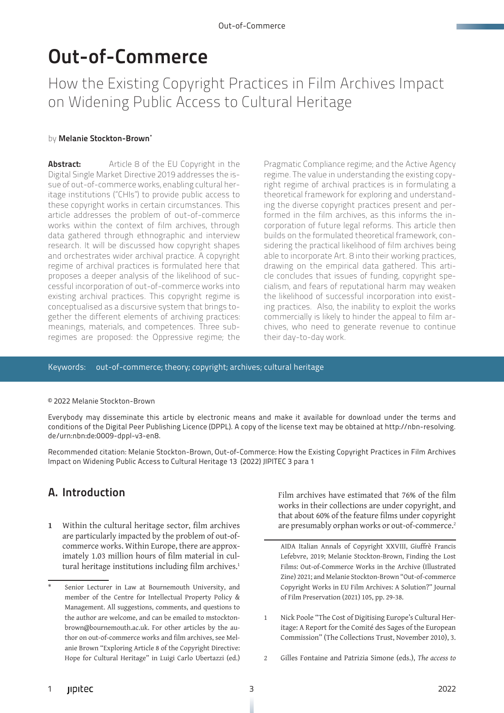# Out-of-Commerce

How the Existing Copyright Practices in Film Archives Impact on Widening Public Access to Cultural Heritage

#### by Melanie Stockton-Brown\*

**Abstract:** Article 8 of the EU Copyright in the Digital Single Market Directive 2019 addresses the issue of out-of-commerce works, enabling cultural heritage institutions ("CHIs") to provide public access to these copyright works in certain circumstances. This article addresses the problem of out-of-commerce works within the context of film archives, through data gathered through ethnographic and interview research. It will be discussed how copyright shapes and orchestrates wider archival practice. A copyright regime of archival practices is formulated here that proposes a deeper analysis of the likelihood of successful incorporation of out-of-commerce works into existing archival practices. This copyright regime is conceptualised as a discursive system that brings together the different elements of archiving practices: meanings, materials, and competences. Three subregimes are proposed: the Oppressive regime; the

Pragmatic Compliance regime; and the Active Agency regime. The value in understanding the existing copyright regime of archival practices is in formulating a theoretical framework for exploring and understanding the diverse copyright practices present and performed in the film archives, as this informs the incorporation of future legal reforms. This article then builds on the formulated theoretical framework, considering the practical likelihood of film archives being able to incorporate Art. 8 into their working practices, drawing on the empirical data gathered. This article concludes that issues of funding, copyright specialism, and fears of reputational harm may weaken the likelihood of successful incorporation into existing practices. Also, the inability to exploit the works commercially is likely to hinder the appeal to film archives, who need to generate revenue to continue their day-to-day work.

#### Keywords: out-of-commerce; theory; copyright; archives; cultural heritage

#### © 2022 Melanie Stockton-Brown

Everybody may disseminate this article by electronic means and make it available for download under the terms and conditions of the Digital Peer Publishing Licence (DPPL). A copy of the license text may be obtained at http://nbn-resolving. de/urn:nbn:de:0009-dppl-v3-en8.

Recommended citation: Melanie Stockton-Brown, Out-of-Commerce: How the Existing Copyright Practices in Film Archives Impact on Widening Public Access to Cultural Heritage 13 (2022) JIPITEC 3 para 1

# A. Introduction

**1** Within the cultural heritage sector, film archives are particularly impacted by the problem of out-ofcommerce works. Within Europe, there are approximately 1.03 million hours of film material in cultural heritage institutions including film archives.<sup>1</sup> Film archives have estimated that 76% of the film works in their collections are under copyright, and that about 60% of the feature films under copyright are presumably orphan works or out-of-commerce.<sup>2</sup>

AIDA Italian Annals of Copyright XXVIII, Giuffrè Francis Lefebvre, 2019; Melanie Stockton-Brown, Finding the Lost Films: Out-of-Commerce Works in the Archive (Illustrated Zine) 2021; and Melanie Stockton-Brown "Out-of-commerce Copyright Works in EU Film Archives: A Solution?" Journal of Film Preservation (2021) 105, pp. 29-38.

- 1 Nick Poole "The Cost of Digitising Europe's Cultural Heritage: A Report for the Comité des Sages of the European Commission" (The Collections Trust, November 2010), 3.
- 2 Gilles Fontaine and Patrizia Simone (eds.), *The access to*

Senior Lecturer in Law at Bournemouth University, and member of the Centre for Intellectual Property Policy & Management. All suggestions, comments, and questions to the author are welcome, and can be emailed to mstocktonbrown@bournemouth.ac.uk. For other articles by the author on out-of-commerce works and film archives, see Melanie Brown "Exploring Article 8 of the Copyright Directive: Hope for Cultural Heritage" in Luigi Carlo Ubertazzi (ed.)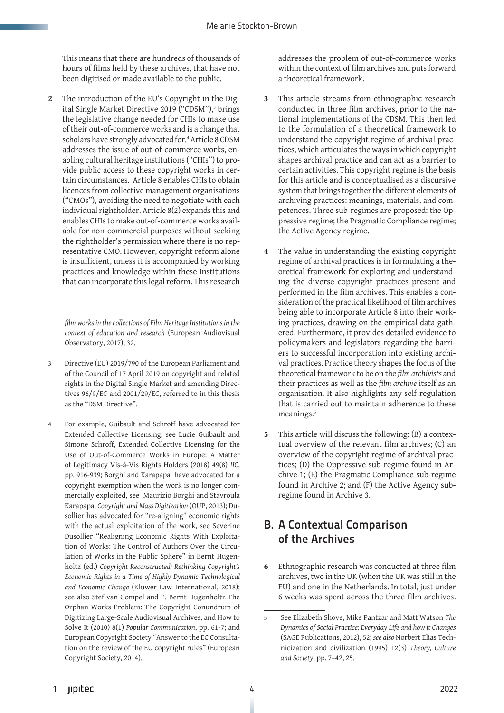This means that there are hundreds of thousands of hours of films held by these archives, that have not been digitised or made available to the public.

**2** The introduction of the EU's Copyright in the Digital Single Market Directive 2019 ("CDSM"),<sup>3</sup> brings the legislative change needed for CHIs to make use of their out-of-commerce works and is a change that scholars have strongly advocated for.4 Article 8 CDSM addresses the issue of out-of-commerce works, enabling cultural heritage institutions ("CHIs") to provide public access to these copyright works in certain circumstances. Article 8 enables CHIs to obtain licences from collective management organisations ("CMOs"), avoiding the need to negotiate with each individual rightholder. Article 8(2) expands this and enables CHIs to make out-of-commerce works available for non-commercial purposes without seeking the rightholder's permission where there is no representative CMO. However, copyright reform alone is insufficient, unless it is accompanied by working practices and knowledge within these institutions that can incorporate this legal reform. This research

*film works in the collections of Film Heritage Institutions in the context of education and research* (European Audiovisual Observatory, 2017), 32.

- 3 Directive (EU) 2019/790 of the European Parliament and of the Council of 17 April 2019 on copyright and related rights in the Digital Single Market and amending Directives 96/9/EC and 2001/29/EC, referred to in this thesis as the "DSM Directive".
- 4 For example, Guibault and Schroff have advocated for Extended Collective Licensing, see Lucie Guibault and Simone Schroff, Extended Collective Licensing for the Use of Out-of-Commerce Works in Europe: A Matter of Legitimacy Vis-à-Vis Rights Holders (2018) 49(8) *IIC*, pp. 916-939; Borghi and Karapapa have advocated for a copyright exemption when the work is no longer commercially exploited, see Maurizio Borghi and Stavroula Karapapa, *Copyright and Mass Digitization* (OUP, 2013); Dusollier has advocated for "re-aligning" economic rights with the actual exploitation of the work, see Severine Dusollier "Realigning Economic Rights With Exploitation of Works: The Control of Authors Over the Circulation of Works in the Public Sphere" in Bernt Hugenholtz (ed.) *Copyright Reconstructed: Rethinking Copyright's Economic Rights in a Time of Highly Dynamic Technological and Economic Change* (Kluwer Law International, 2018); see also Stef van Gompel and P. Bernt Hugenholtz The Orphan Works Problem: The Copyright Conundrum of Digitizing Large-Scale Audiovisual Archives, and How to Solve It (2010) 8(1) *Popular Communication*, pp. 61-7; and European Copyright Society "Answer to the EC Consultation on the review of the EU copyright rules" (European Copyright Society, 2014).

addresses the problem of out-of-commerce works within the context of film archives and puts forward a theoretical framework.

- **3** This article streams from ethnographic research conducted in three film archives, prior to the national implementations of the CDSM. This then led to the formulation of a theoretical framework to understand the copyright regime of archival practices, which articulates the ways in which copyright shapes archival practice and can act as a barrier to certain activities. This copyright regime is the basis for this article and is conceptualised as a discursive system that brings together the different elements of archiving practices: meanings, materials, and competences. Three sub-regimes are proposed: the Oppressive regime; the Pragmatic Compliance regime; the Active Agency regime.
- **4** The value in understanding the existing copyright regime of archival practices is in formulating a theoretical framework for exploring and understanding the diverse copyright practices present and performed in the film archives. This enables a consideration of the practical likelihood of film archives being able to incorporate Article 8 into their working practices, drawing on the empirical data gathered. Furthermore, it provides detailed evidence to policymakers and legislators regarding the barriers to successful incorporation into existing archival practices. Practice theory shapes the focus of the theoretical framework to be on the *film archivists* and their practices as well as the *film archive* itself as an organisation. It also highlights any self-regulation that is carried out to maintain adherence to these meanings.<sup>5</sup>
- **5** This article will discuss the following: (B) a contextual overview of the relevant film archives; (C) an overview of the copyright regime of archival practices; (D) the Oppressive sub-regime found in Archive 1; (E) the Pragmatic Compliance sub-regime found in Archive 2; and (F) the Active Agency subregime found in Archive 3.

# B. A Contextual Comparison of the Archives

**6** Ethnographic research was conducted at three film archives, two in the UK (when the UK was still in the EU) and one in the Netherlands. In total, just under 6 weeks was spent across the three film archives.

<sup>5</sup> See Elizabeth Shove, Mike Pantzar and Matt Watson *The Dynamics of Social Practice: Everyday Life and how it Changes* (SAGE Publications, 2012), 52; *see also* Norbert Elias Technicization and civilization (1995) 12(3) *Theory, Culture and Society*, pp. 7–42, 25.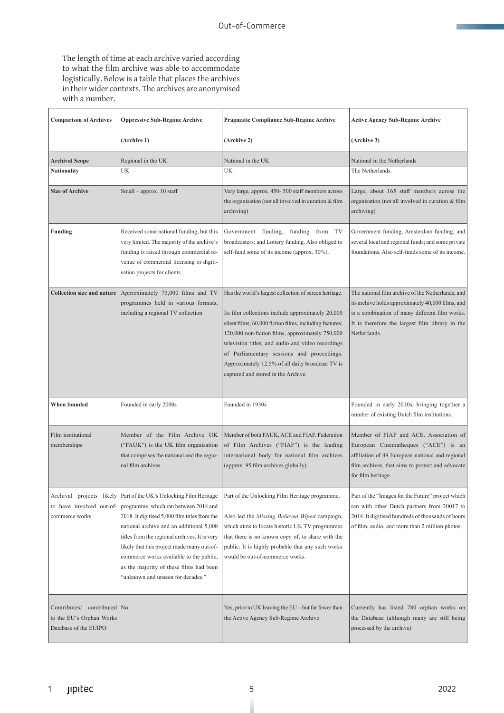The length of time at each archive varied according to what the film archive was able to accommodate logistically. Below is a table that places the archives in their wider contexts. The archives are anonymised with a number.

| <b>Comparison of Archives</b>                                                      | <b>Oppressive Sub-Regime Archive</b>                                                                                                                                                                                                                                                                                                                                                                                              | <b>Pragmatic Compliance Sub-Regime Archive</b>                                                                                                                                                                                                                                                                                                                                                                           | <b>Active Agency Sub-Regime Archive</b>                                                                                                                                                                                     |
|------------------------------------------------------------------------------------|-----------------------------------------------------------------------------------------------------------------------------------------------------------------------------------------------------------------------------------------------------------------------------------------------------------------------------------------------------------------------------------------------------------------------------------|--------------------------------------------------------------------------------------------------------------------------------------------------------------------------------------------------------------------------------------------------------------------------------------------------------------------------------------------------------------------------------------------------------------------------|-----------------------------------------------------------------------------------------------------------------------------------------------------------------------------------------------------------------------------|
|                                                                                    | (Archive 1)                                                                                                                                                                                                                                                                                                                                                                                                                       | (Archive 2)                                                                                                                                                                                                                                                                                                                                                                                                              | (Archive 3)                                                                                                                                                                                                                 |
| <b>Archival Scope</b>                                                              | Regional in the UK                                                                                                                                                                                                                                                                                                                                                                                                                | National in the UK                                                                                                                                                                                                                                                                                                                                                                                                       | National in the Netherlands                                                                                                                                                                                                 |
| Nationality                                                                        | UK                                                                                                                                                                                                                                                                                                                                                                                                                                | UK                                                                                                                                                                                                                                                                                                                                                                                                                       | The Netherlands.                                                                                                                                                                                                            |
| <b>Size of Archive</b>                                                             | Small - approx. 10 staff                                                                                                                                                                                                                                                                                                                                                                                                          | Very large, approx. 450- 500 staff members across<br>the organisation (not all involved in curation $&$ film<br>archiving)                                                                                                                                                                                                                                                                                               | Large, about 165 staff members across the<br>organisation (not all involved in curation & film<br>archiving)                                                                                                                |
| Funding                                                                            | Received some national funding, but this<br>very limited. The majority of the archive's<br>funding is raised through commercial re-<br>venue of commercial licensing or digiti-<br>sation projects for clients                                                                                                                                                                                                                    | Government funding, funding from TV<br>broadcasters; and Lottery funding. Also obliged to<br>self-fund some of its income (approx. 30%).                                                                                                                                                                                                                                                                                 | Government funding; Amsterdam funding; and<br>several local and regional funds; and some private<br>foundations. Also self-funds some of its income.                                                                        |
| <b>Collection size and nature</b>                                                  | Approximately 75,000 films and TV<br>programmes held in various formats,<br>including a regional TV collection                                                                                                                                                                                                                                                                                                                    | Has the world's largest collection of screen heritage.<br>Its film collections include approximately 20,000<br>silent films; 60,000 fiction films, including features;<br>120,000 non-fiction films, approximately 750,000<br>television titles; and audio and video recordings<br>of Parliamentary sessions and proceedings.<br>Approximately 12.5% of all daily broadcast TV is<br>captured and stored in the Archive. | The national film archive of the Netherlands, and<br>its archive holds approximately 40,000 films, and<br>is a combination of many different film works.<br>It is therefore the largest film library in the<br>Netherlands. |
| When founded                                                                       | Founded in early 2000s                                                                                                                                                                                                                                                                                                                                                                                                            | Founded in 1930s                                                                                                                                                                                                                                                                                                                                                                                                         | Founded in early 2010s, bringing together a<br>number of existing Dutch film institutions.                                                                                                                                  |
| Film institutional<br>memberships                                                  | Member of the Film Archive UK<br>("FAUK") is the UK film organisation<br>that comprises the national and the regio-<br>nal film archives.                                                                                                                                                                                                                                                                                         | Member of both FAUK, ACE and FIAF. Federation<br>of Film Archives ("FIAF") is the leading<br>international body for national film archives<br>(approx. 95 film archives globally).                                                                                                                                                                                                                                       | Member of FIAF and ACE. Association of<br>European Cinematheques ("ACE") is an<br>affiliation of 49 European national and regional<br>film archives, that aims to protect and advocate<br>for film heritage.                |
| to have involved out-of-<br>commerce works                                         | Archival projects likely Part of the UK's Unlocking Film Heritage<br>programme, which ran between 2014 and<br>2018. It digitised 5,000 film titles from the<br>national archive and an additional 5,000<br>titles from the regional archives. It is very<br>likely that this project made many out-of-<br>commerce works available to the public,<br>as the majority of these films had been<br>"unknown and unseen for decades." | Part of the Unlocking Film Heritage programme.<br>Also led the Missing Believed Wiped campaign,<br>which aims to locate historic UK TV programmes<br>that there is no known copy of, to share with the<br>public. It is highly probable that any such works<br>would be out-of-commerce works.                                                                                                                           | Part of the "Images for the Future" project which<br>ran with other Dutch partners from 20017 to<br>2014. It digitised hundreds of thousands of hours<br>of film, audio, and more than 2 million photos.                    |
| Contributes/ contributed   No<br>to the EU's Orphan Works<br>Database of the EUIPO |                                                                                                                                                                                                                                                                                                                                                                                                                                   | Yes, prior to UK leaving the EU – but far fewer than<br>the Active Agency Sub-Regime Archive                                                                                                                                                                                                                                                                                                                             | Currently has listed 780 orphan works on<br>the Database (although many are still being<br>processed by the archive)                                                                                                        |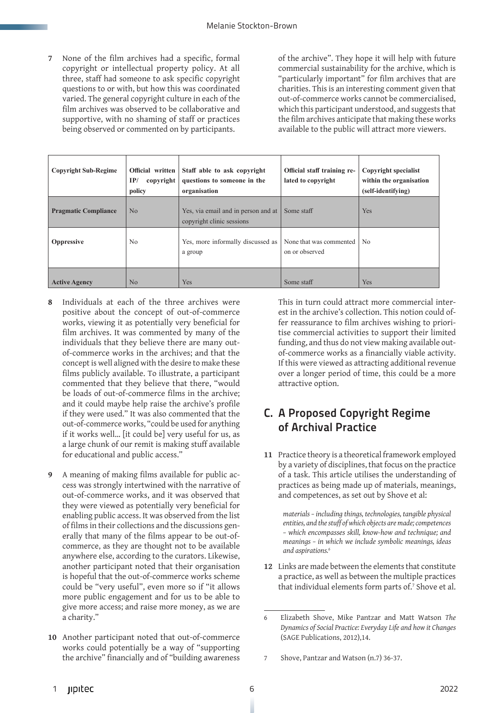**7** None of the film archives had a specific, formal copyright or intellectual property policy. At all three, staff had someone to ask specific copyright questions to or with, but how this was coordinated varied. The general copyright culture in each of the film archives was observed to be collaborative and supportive, with no shaming of staff or practices being observed or commented on by participants.

of the archive". They hope it will help with future commercial sustainability for the archive, which is "particularly important" for film archives that are charities. This is an interesting comment given that out-of-commerce works cannot be commercialised, which this participant understood, and suggests that the film archives anticipate that making these works available to the public will attract more viewers.

| <b>Copyright Sub-Regime</b> | Official written<br>IP/<br>copyright<br>policy | Staff able to ask copyright<br>questions to someone in the<br>organisation | Official staff training re-<br>lated to copyright    | Copyright specialist<br>within the organisation<br>(self-identifying) |
|-----------------------------|------------------------------------------------|----------------------------------------------------------------------------|------------------------------------------------------|-----------------------------------------------------------------------|
| <b>Pragmatic Compliance</b> | N <sub>0</sub>                                 | Yes, via email and in person and at<br>copyright clinic sessions           | Some staff                                           | Yes                                                                   |
| Oppressive                  | N <sub>0</sub>                                 | Yes, more informally discussed as<br>a group                               | None that was commented $\vert$ No<br>on or observed |                                                                       |
| <b>Active Agency</b>        | N <sub>o</sub>                                 | Yes                                                                        | Some staff                                           | Yes                                                                   |

- **8** Individuals at each of the three archives were positive about the concept of out-of-commerce works, viewing it as potentially very beneficial for film archives. It was commented by many of the individuals that they believe there are many outof-commerce works in the archives; and that the concept is well aligned with the desire to make these films publicly available. To illustrate, a participant commented that they believe that there, "would be loads of out-of-commerce films in the archive; and it could maybe help raise the archive's profile if they were used." It was also commented that the out-of-commerce works, "could be used for anything if it works well… [it could be] very useful for us, as a large chunk of our remit is making stuff available for educational and public access."
- **9** A meaning of making films available for public access was strongly intertwined with the narrative of out-of-commerce works, and it was observed that they were viewed as potentially very beneficial for enabling public access. It was observed from the list of films in their collections and the discussions generally that many of the films appear to be out-ofcommerce, as they are thought not to be available anywhere else, according to the curators. Likewise, another participant noted that their organisation is hopeful that the out-of-commerce works scheme could be "very useful", even more so if "it allows more public engagement and for us to be able to give more access; and raise more money, as we are a charity."
- **10** Another participant noted that out-of-commerce works could potentially be a way of "supporting the archive" financially and of "building awareness

This in turn could attract more commercial interest in the archive's collection. This notion could offer reassurance to film archives wishing to prioritise commercial activities to support their limited funding, and thus do not view making available outof-commerce works as a financially viable activity. If this were viewed as attracting additional revenue over a longer period of time, this could be a more attractive option.

### C. A Proposed Copyright Regime of Archival Practice

**11** Practice theory is a theoretical framework employed by a variety of disciplines, that focus on the practice of a task. This article utilises the understanding of practices as being made up of materials, meanings, and competences, as set out by Shove et al:

*materials – including things, technologies, tangible physical entities, and the stuff of which objects are made; competences – which encompasses skill, know-how and technique; and meanings – in which we include symbolic meanings, ideas and aspirations.<sup>6</sup>*

**12** Links are made between the elements that constitute a practice, as well as between the multiple practices that individual elements form parts of.<sup>7</sup> Shove et al.

<sup>6</sup> Elizabeth Shove, Mike Pantzar and Matt Watson *The Dynamics of Social Practice: Everyday Life and how it Changes* (SAGE Publications, 2012),14.

<sup>7</sup> Shove, Pantzar and Watson (n.7) 36-37.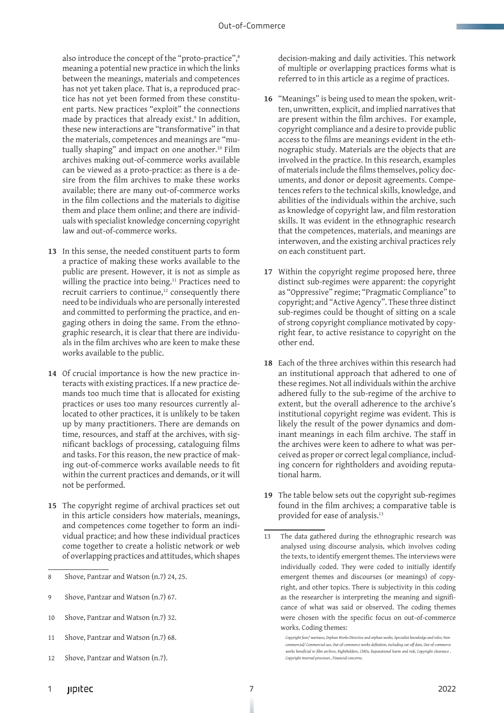also introduce the concept of the "proto-practice",<sup>8</sup> meaning a potential new practice in which the links between the meanings, materials and competences has not yet taken place. That is, a reproduced practice has not yet been formed from these constituent parts. New practices "exploit" the connections made by practices that already exist.9 In addition, these new interactions are "transformative" in that the materials, competences and meanings are "mutually shaping" and impact on one another.<sup>10</sup> Film archives making out-of-commerce works available can be viewed as a proto-practice: as there is a desire from the film archives to make these works available; there are many out-of-commerce works in the film collections and the materials to digitise them and place them online; and there are individuals with specialist knowledge concerning copyright law and out-of-commerce works.

- **13** In this sense, the needed constituent parts to form a practice of making these works available to the public are present. However, it is not as simple as willing the practice into being.<sup>11</sup> Practices need to recruit carriers to continue,<sup>12</sup> consequently there need to be individuals who are personally interested and committed to performing the practice, and engaging others in doing the same. From the ethnographic research, it is clear that there are individuals in the film archives who are keen to make these works available to the public.
- **14** Of crucial importance is how the new practice interacts with existing practices. If a new practice demands too much time that is allocated for existing practices or uses too many resources currently allocated to other practices, it is unlikely to be taken up by many practitioners. There are demands on time, resources, and staff at the archives, with significant backlogs of processing, cataloguing films and tasks. For this reason, the new practice of making out-of-commerce works available needs to fit within the current practices and demands, or it will not be performed.
- **15** The copyright regime of archival practices set out in this article considers how materials, meanings, and competences come together to form an individual practice; and how these individual practices come together to create a holistic network or web of overlapping practices and attitudes, which shapes
- 8 Shove, Pantzar and Watson (n.7) 24, 25.
- 9 Shove, Pantzar and Watson (n.7) 67.
- 10 Shove, Pantzar and Watson (n.7) 32.
- 11 Shove, Pantzar and Watson (n.7) 68.
- 12 Shove, Pantzar and Watson (n.7).

decision-making and daily activities. This network of multiple or overlapping practices forms what is referred to in this article as a regime of practices.

- **16** "Meanings" is being used to mean the spoken, written, unwritten, explicit, and implied narratives that are present within the film archives. For example, copyright compliance and a desire to provide public access to the films are meanings evident in the ethnographic study. Materials are the objects that are involved in the practice. In this research, examples of materials include the films themselves, policy documents, and donor or deposit agreements. Competences refers to the technical skills, knowledge, and abilities of the individuals within the archive, such as knowledge of copyright law, and film restoration skills. It was evident in the ethnographic research that the competences, materials, and meanings are interwoven, and the existing archival practices rely on each constituent part.
- **17** Within the copyright regime proposed here, three distinct sub-regimes were apparent: the copyright as "Oppressive" regime; "Pragmatic Compliance" to copyright; and "Active Agency". These three distinct sub-regimes could be thought of sitting on a scale of strong copyright compliance motivated by copyright fear, to active resistance to copyright on the other end.
- **18** Each of the three archives within this research had an institutional approach that adhered to one of these regimes. Not all individuals within the archive adhered fully to the sub-regime of the archive to extent, but the overall adherence to the archive's institutional copyright regime was evident. This is likely the result of the power dynamics and dominant meanings in each film archive. The staff in the archives were keen to adhere to what was perceived as proper or correct legal compliance, including concern for rightholders and avoiding reputational harm.
- **19** The table below sets out the copyright sub-regimes found in the film archives; a comparative table is provided for ease of analysis.13

<sup>13</sup> The data gathered during the ethnographic research was analysed using discourse analysis, which involves coding the texts, to identify emergent themes. The interviews were individually coded. They were coded to initially identify emergent themes and discourses (or meanings) of copyright, and other topics. There is subjectivity in this coding as the researcher is interpreting the meaning and significance of what was said or observed. The coding themes were chosen with the specific focus on out-of-commerce works. Coding themes:

*Copyright fear/ wariness, Orphan Works Directive and orphan works, Specialist knowledge and roles, Noncommercial/ Commercial use, Out-of-commerce works definition, including cut-off date, Out-of-commerce works beneficial to film archive, Rightholders, CMOs, Reputational harm and risk, Copyright clearance ,*   $Copyright$  internal processes, Financial conce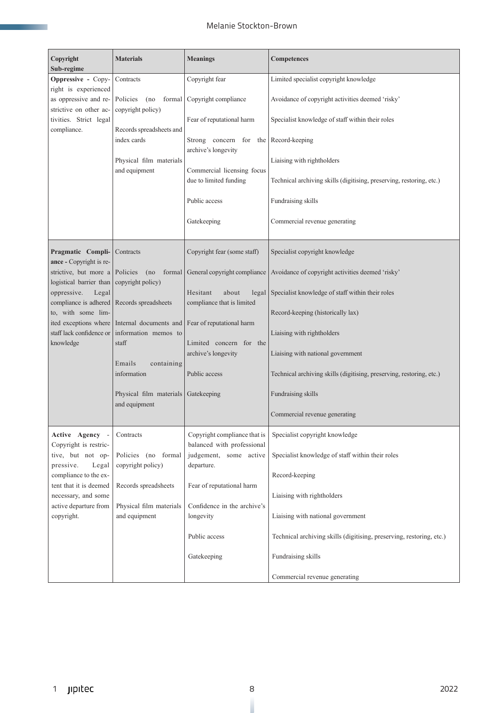| Copyright<br>Sub-regime                                                                                          | <b>Materials</b>                                                                                                                      | <b>Meanings</b>                                                                                    | <b>Competences</b>                                                   |
|------------------------------------------------------------------------------------------------------------------|---------------------------------------------------------------------------------------------------------------------------------------|----------------------------------------------------------------------------------------------------|----------------------------------------------------------------------|
| Oppressive - Copy-                                                                                               | Contracts                                                                                                                             | Copyright fear                                                                                     | Limited specialist copyright knowledge                               |
| right is experienced<br>as oppressive and re-<br>strictive on other ac-<br>tivities. Strict legal<br>compliance. | Policies<br>formal<br>(no<br>copyright policy)<br>Records spreadsheets and<br>index cards<br>Physical film materials<br>and equipment | Copyright compliance                                                                               | Avoidance of copyright activities deemed 'risky'                     |
|                                                                                                                  |                                                                                                                                       | Fear of reputational harm                                                                          | Specialist knowledge of staff within their roles                     |
|                                                                                                                  |                                                                                                                                       | Strong concern for the<br>archive's longevity                                                      | Record-keeping                                                       |
|                                                                                                                  |                                                                                                                                       | Commercial licensing focus                                                                         | Liaising with rightholders                                           |
|                                                                                                                  |                                                                                                                                       | due to limited funding                                                                             | Technical archiving skills (digitising, preserving, restoring, etc.) |
|                                                                                                                  |                                                                                                                                       | Public access                                                                                      | Fundraising skills                                                   |
|                                                                                                                  |                                                                                                                                       | Gatekeeping                                                                                        | Commercial revenue generating                                        |
| Pragmatic Compli-<br>ance - Copyright is re-                                                                     | Contracts                                                                                                                             | Copyright fear (some staff)                                                                        | Specialist copyright knowledge                                       |
| strictive, but more a                                                                                            | Policies<br>formal<br>(no<br>copyright policy)                                                                                        | General copyright compliance                                                                       | Avoidance of copyright activities deemed 'risky'                     |
| logistical barrier than<br>oppressive.<br>Legal                                                                  |                                                                                                                                       | Hesitant<br>about<br>legal                                                                         | Specialist knowledge of staff within their roles                     |
| compliance is adhered<br>to, with some lim-                                                                      | Records spreadsheets                                                                                                                  | compliance that is limited                                                                         | Record-keeping (historically lax)                                    |
|                                                                                                                  | ited exceptions where Internal documents and                                                                                          | Fear of reputational harm                                                                          |                                                                      |
| staff lack confidence or<br>knowledge                                                                            | information memos to<br>staff                                                                                                         | Limited concern for the                                                                            | Liaising with rightholders                                           |
|                                                                                                                  | Emails<br>containing<br>information<br>Physical film materials<br>and equipment                                                       | archive's longevity                                                                                | Liaising with national government                                    |
|                                                                                                                  |                                                                                                                                       | Public access                                                                                      | Technical archiving skills (digitising, preserving, restoring, etc.) |
|                                                                                                                  |                                                                                                                                       | Gatekeeping                                                                                        | Fundraising skills                                                   |
|                                                                                                                  |                                                                                                                                       |                                                                                                    | Commercial revenue generating                                        |
| Active Agency -<br>Copyright is restric-<br>tive, but not op-<br>pressive.<br>Legal                              | Contracts<br>Policies (no formal<br>copyright policy)<br>Records spreadsheets<br>Physical film materials<br>and equipment             | Copyright compliance that is<br>balanced with professional<br>judgement, some active<br>departure. | Specialist copyright knowledge                                       |
|                                                                                                                  |                                                                                                                                       |                                                                                                    | Specialist knowledge of staff within their roles                     |
| compliance to the ex-<br>tent that it is deemed                                                                  |                                                                                                                                       | Fear of reputational harm                                                                          | Record-keeping                                                       |
| necessary, and some                                                                                              |                                                                                                                                       |                                                                                                    | Liaising with rightholders                                           |
| active departure from<br>copyright.                                                                              |                                                                                                                                       | Confidence in the archive's<br>longevity                                                           | Liaising with national government                                    |
|                                                                                                                  |                                                                                                                                       |                                                                                                    |                                                                      |
|                                                                                                                  |                                                                                                                                       | Public access                                                                                      | Technical archiving skills (digitising, preserving, restoring, etc.) |
|                                                                                                                  |                                                                                                                                       | Gatekeeping                                                                                        | Fundraising skills                                                   |
|                                                                                                                  |                                                                                                                                       |                                                                                                    | Commercial revenue generating                                        |

**STATISTICS**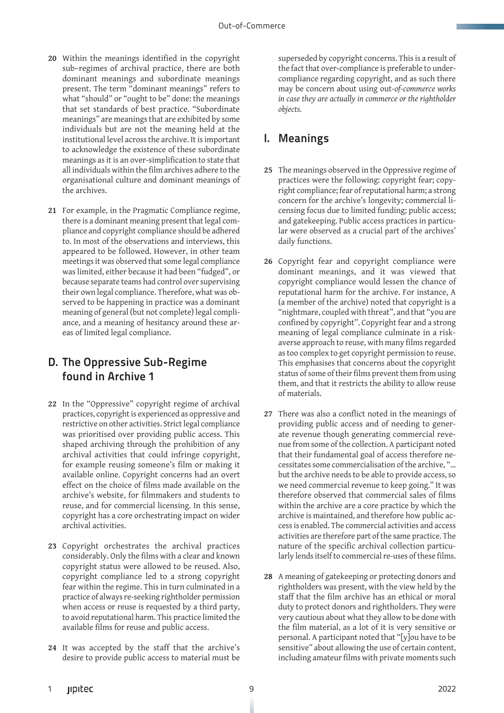- **20** Within the meanings identified in the copyright sub–regimes of archival practice, there are both dominant meanings and subordinate meanings present. The term "dominant meanings" refers to what "should" or "ought to be" done: the meanings that set standards of best practice. "Subordinate meanings" are meanings that are exhibited by some individuals but are not the meaning held at the institutional level across the archive. It is important to acknowledge the existence of these subordinate meanings as it is an over-simplification to state that all individuals within the film archives adhere to the organisational culture and dominant meanings of the archives.
- **21** For example, in the Pragmatic Compliance regime, there is a dominant meaning present that legal compliance and copyright compliance should be adhered to. In most of the observations and interviews, this appeared to be followed. However, in other team meetings it was observed that some legal compliance was limited, either because it had been "fudged", or because separate teams had control over supervising their own legal compliance. Therefore, what was observed to be happening in practice was a dominant meaning of general (but not complete) legal compliance, and a meaning of hesitancy around these areas of limited legal compliance.

#### D. The Oppressive Sub-Regime found in Archive 1

- **22** In the "Oppressive" copyright regime of archival practices, copyright is experienced as oppressive and restrictive on other activities. Strict legal compliance was prioritised over providing public access. This shaped archiving through the prohibition of any archival activities that could infringe copyright, for example reusing someone's film or making it available online. Copyright concerns had an overt effect on the choice of films made available on the archive's website, for filmmakers and students to reuse, and for commercial licensing. In this sense, copyright has a core orchestrating impact on wider archival activities.
- **23** Copyright orchestrates the archival practices considerably. Only the films with a clear and known copyright status were allowed to be reused. Also, copyright compliance led to a strong copyright fear within the regime. This in turn culminated in a practice of always re-seeking rightholder permission when access or reuse is requested by a third party, to avoid reputational harm. This practice limited the available films for reuse and public access.
- **24** It was accepted by the staff that the archive's desire to provide public access to material must be

superseded by copyright concerns. This is a result of the fact that over-compliance is preferable to undercompliance regarding copyright, and as such there may be concern about using out-*of-commerce works in case they are actually in commerce or the rightholder objects.* 

# I. Meanings

- **25** The meanings observed in the Oppressive regime of practices were the following: copyright fear; copyright compliance; fear of reputational harm; a strong concern for the archive's longevity; commercial licensing focus due to limited funding; public access; and gatekeeping. Public access practices in particular were observed as a crucial part of the archives' daily functions.
- **26** Copyright fear and copyright compliance were dominant meanings, and it was viewed that copyright compliance would lessen the chance of reputational harm for the archive. For instance, A (a member of the archive) noted that copyright is a "nightmare, coupled with threat", and that "you are confined by copyright". Copyright fear and a strong meaning of legal compliance culminate in a riskaverse approach to reuse, with many films regarded as too complex to get copyright permission to reuse. This emphasises that concerns about the copyright status of some of their films prevent them from using them, and that it restricts the ability to allow reuse of materials.
- **27** There was also a conflict noted in the meanings of providing public access and of needing to generate revenue though generating commercial revenue from some of the collection. A participant noted that their fundamental goal of access therefore necessitates some commercialisation of the archive, "… but the archive needs to be able to provide access, so we need commercial revenue to keep going." It was therefore observed that commercial sales of films within the archive are a core practice by which the archive is maintained, and therefore how public access is enabled. The commercial activities and access activities are therefore part of the same practice. The nature of the specific archival collection particularly lends itself to commercial re-uses of these films.
- **28** A meaning of gatekeeping or protecting donors and rightholders was present, with the view held by the staff that the film archive has an ethical or moral duty to protect donors and rightholders. They were very cautious about what they allow to be done with the film material, as a lot of it is very sensitive or personal. A participant noted that "[y]ou have to be sensitive" about allowing the use of certain content, including amateur films with private moments such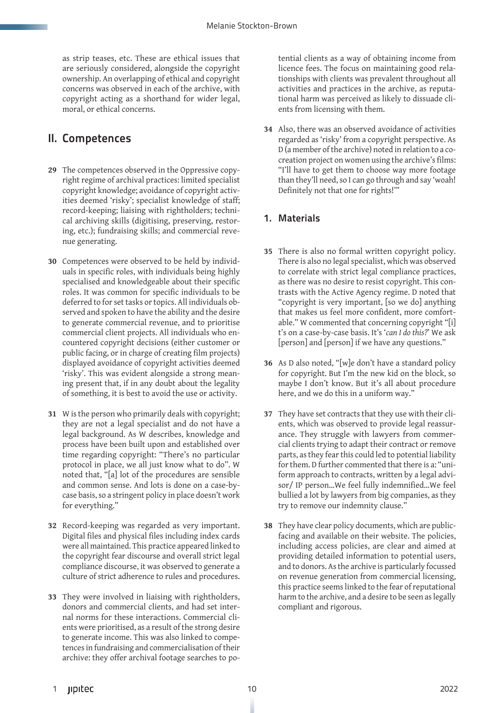as strip teases, etc. These are ethical issues that are seriously considered, alongside the copyright ownership. An overlapping of ethical and copyright concerns was observed in each of the archive, with copyright acting as a shorthand for wider legal, moral, or ethical concerns.

#### II. Competences

- **29** The competences observed in the Oppressive copyright regime of archival practices: limited specialist copyright knowledge; avoidance of copyright activities deemed 'risky'; specialist knowledge of staff; record-keeping; liaising with rightholders; technical archiving skills (digitising, preserving, restoring, etc.); fundraising skills; and commercial revenue generating.
- **30** Competences were observed to be held by individuals in specific roles, with individuals being highly specialised and knowledgeable about their specific roles. It was common for specific individuals to be deferred to for set tasks or topics. All individuals observed and spoken to have the ability and the desire to generate commercial revenue, and to prioritise commercial client projects. All individuals who encountered copyright decisions (either customer or public facing, or in charge of creating film projects) displayed avoidance of copyright activities deemed 'risky'. This was evident alongside a strong meaning present that, if in any doubt about the legality of something, it is best to avoid the use or activity.
- **31** W is the person who primarily deals with copyright; they are not a legal specialist and do not have a legal background. As W describes, knowledge and process have been built upon and established over time regarding copyright: "There's no particular protocol in place, we all just know what to do". W noted that, "[a] lot of the procedures are sensible and common sense. And lots is done on a case-bycase basis, so a stringent policy in place doesn't work for everything."
- **32** Record-keeping was regarded as very important. Digital files and physical files including index cards were all maintained. This practice appeared linked to the copyright fear discourse and overall strict legal compliance discourse, it was observed to generate a culture of strict adherence to rules and procedures.
- **33** They were involved in liaising with rightholders, donors and commercial clients, and had set internal norms for these interactions. Commercial clients were prioritised, as a result of the strong desire to generate income. This was also linked to competences in fundraising and commercialisation of their archive: they offer archival footage searches to po-

tential clients as a way of obtaining income from licence fees. The focus on maintaining good relationships with clients was prevalent throughout all activities and practices in the archive, as reputational harm was perceived as likely to dissuade clients from licensing with them.

**34** Also, there was an observed avoidance of activities regarded as 'risky' from a copyright perspective. As D (a member of the archive) noted in relation to a cocreation project on women using the archive's films: "I'll have to get them to choose way more footage than they'll need, so I can go through and say 'woah! Definitely not that one for rights!'"

#### 1. Materials

- **35** There is also no formal written copyright policy. There is also no legal specialist, which was observed to correlate with strict legal compliance practices, as there was no desire to resist copyright. This contrasts with the Active Agency regime. D noted that "copyright is very important, [so we do] anything that makes us feel more confident, more comfortable." W commented that concerning copyright "[i] t's on a case-by-case basis. It's '*can I do this?*' We ask [person] and [person] if we have any questions."
- **36** As D also noted, "[w]e don't have a standard policy for copyright. But I'm the new kid on the block, so maybe I don't know. But it's all about procedure here, and we do this in a uniform way."
- **37** They have set contracts that they use with their clients, which was observed to provide legal reassurance. They struggle with lawyers from commercial clients trying to adapt their contract or remove parts, as they fear this could led to potential liability for them. D further commented that there is a: "uniform approach to contracts, written by a legal advisor/ IP person…We feel fully indemnified…We feel bullied a lot by lawyers from big companies, as they try to remove our indemnity clause."
- **38** They have clear policy documents, which are publicfacing and available on their website. The policies, including access policies, are clear and aimed at providing detailed information to potential users, and to donors. As the archive is particularly focussed on revenue generation from commercial licensing, this practice seems linked to the fear of reputational harm to the archive, and a desire to be seen as legally compliant and rigorous.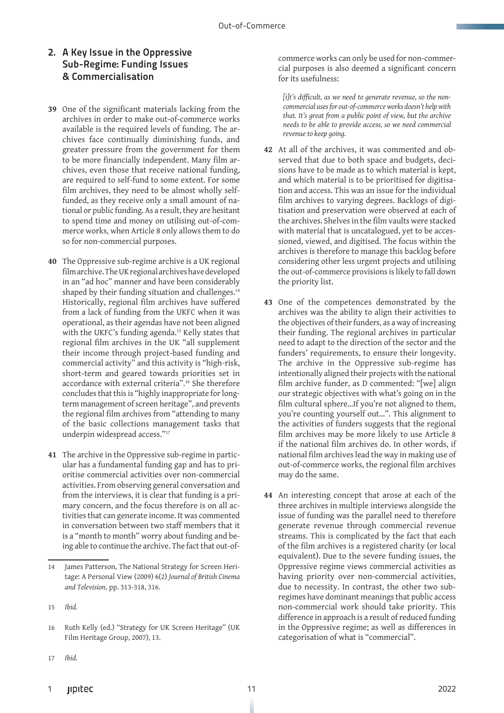#### 2. A Key Issue in the Oppressive Sub-Regime: Funding Issues & Commercialisation

- **39** One of the significant materials lacking from the archives in order to make out-of-commerce works available is the required levels of funding. The archives face continually diminishing funds, and greater pressure from the government for them to be more financially independent. Many film archives, even those that receive national funding, are required to self-fund to some extent. For some film archives, they need to be almost wholly selffunded, as they receive only a small amount of national or public funding. As a result, they are hesitant to spend time and money on utilising out-of-commerce works, when Article 8 only allows them to do so for non-commercial purposes.
- **40** The Oppressive sub-regime archive is a UK regional film archive. The UK regional archives have developed in an "ad hoc" manner and have been considerably shaped by their funding situation and challenges.<sup>14</sup> Historically, regional film archives have suffered from a lack of funding from the UKFC when it was operational, as their agendas have not been aligned with the UKFC's funding agenda.<sup>15</sup> Kelly states that regional film archives in the UK "all supplement their income through project-based funding and commercial activity" and this activity is "high-risk, short-term and geared towards priorities set in accordance with external criteria".16 She therefore concludes that this is "highly inappropriate for longterm management of screen heritage", and prevents the regional film archives from "attending to many of the basic collections management tasks that underpin widespread access."17
- **41** The archive in the Oppressive sub-regime in particular has a fundamental funding gap and has to prioritise commercial activities over non-commercial activities. From observing general conversation and from the interviews, it is clear that funding is a primary concern, and the focus therefore is on all activities that can generate income. It was commented in conversation between two staff members that it is a "month to month" worry about funding and being able to continue the archive. The fact that out-of-

17 *Ibid.*

commerce works can only be used for non-commercial purposes is also deemed a significant concern for its usefulness:

*[i]t's difficult, as we need to generate revenue, so the noncommercial uses for out-of-commerce works doesn't help with that. It's great from a public point of view, but the archive needs to be able to provide access, so we need commercial revenue to keep going.*

- **42** At all of the archives, it was commented and observed that due to both space and budgets, decisions have to be made as to which material is kept, and which material is to be prioritised for digitisation and access. This was an issue for the individual film archives to varying degrees. Backlogs of digitisation and preservation were observed at each of the archives. Shelves in the film vaults were stacked with material that is uncatalogued, yet to be accessioned, viewed, and digitised. The focus within the archives is therefore to manage this backlog before considering other less urgent projects and utilising the out-of-commerce provisions is likely to fall down the priority list.
- **43** One of the competences demonstrated by the archives was the ability to align their activities to the objectives of their funders, as a way of increasing their funding. The regional archives in particular need to adapt to the direction of the sector and the funders' requirements, to ensure their longevity. The archive in the Oppressive sub-regime has intentionally aligned their projects with the national film archive funder, as D commented: "[we] align our strategic objectives with what's going on in the film cultural sphere...If you're not aligned to them, you're counting yourself out…". This alignment to the activities of funders suggests that the regional film archives may be more likely to use Article 8 if the national film archives do. In other words, if national film archives lead the way in making use of out-of-commerce works, the regional film archives may do the same.
- **44** An interesting concept that arose at each of the three archives in multiple interviews alongside the issue of funding was the parallel need to therefore generate revenue through commercial revenue streams. This is complicated by the fact that each of the film archives is a registered charity (or local equivalent). Due to the severe funding issues, the Oppressive regime views commercial activities as having priority over non-commercial activities, due to necessity. In contrast, the other two subregimes have dominant meanings that public access non-commercial work should take priority. This difference in approach is a result of reduced funding in the Oppressive regime; as well as differences in categorisation of what is "commercial".

<sup>14</sup> James Patterson, The National Strategy for Screen Heritage: A Personal View (2009) 6(2) *Journal of British Cinema and Television*, pp. 313-318, 316.

<sup>15</sup> *Ibid.*

<sup>16</sup> Ruth Kelly (ed.) "Strategy for UK Screen Heritage" (UK Film Heritage Group, 2007), 13.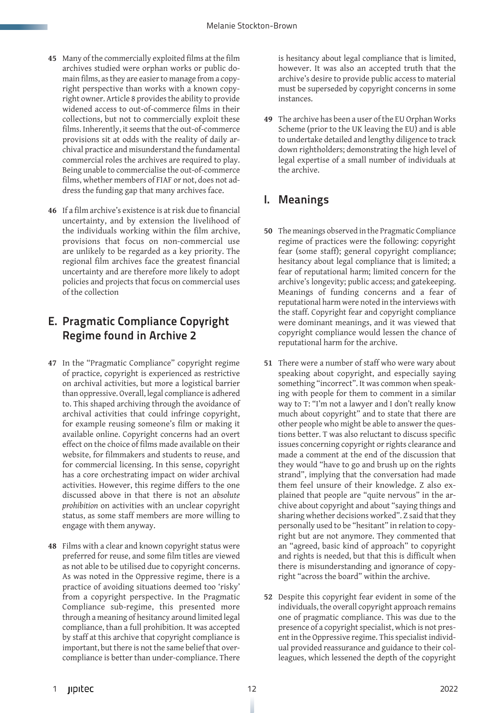- **45** Many of the commercially exploited films at the film archives studied were orphan works or public domain films, as they are easier to manage from a copyright perspective than works with a known copyright owner. Article 8 provides the ability to provide widened access to out-of-commerce films in their collections, but not to commercially exploit these films. Inherently, it seems that the out-of-commerce provisions sit at odds with the reality of daily archival practice and misunderstand the fundamental commercial roles the archives are required to play. Being unable to commercialise the out-of-commerce films, whether members of FIAF or not, does not address the funding gap that many archives face.
- **46** If a film archive's existence is at risk due to financial uncertainty, and by extension the livelihood of the individuals working within the film archive, provisions that focus on non-commercial use are unlikely to be regarded as a key priority. The regional film archives face the greatest financial uncertainty and are therefore more likely to adopt policies and projects that focus on commercial uses of the collection

## E. Pragmatic Compliance Copyright Regime found in Archive 2

- **47** In the "Pragmatic Compliance" copyright regime of practice, copyright is experienced as restrictive on archival activities, but more a logistical barrier than oppressive. Overall, legal compliance is adhered to. This shaped archiving through the avoidance of archival activities that could infringe copyright, for example reusing someone's film or making it available online. Copyright concerns had an overt effect on the choice of films made available on their website, for filmmakers and students to reuse, and for commercial licensing. In this sense, copyright has a core orchestrating impact on wider archival activities. However, this regime differs to the one discussed above in that there is not an *absolute prohibition* on activities with an unclear copyright status, as some staff members are more willing to engage with them anyway.
- **48** Films with a clear and known copyright status were preferred for reuse, and some film titles are viewed as not able to be utilised due to copyright concerns. As was noted in the Oppressive regime, there is a practice of avoiding situations deemed too 'risky' from a copyright perspective. In the Pragmatic Compliance sub-regime, this presented more through a meaning of hesitancy around limited legal compliance, than a full prohibition. It was accepted by staff at this archive that copyright compliance is important, but there is not the same belief that overcompliance is better than under-compliance. There

is hesitancy about legal compliance that is limited, however. It was also an accepted truth that the archive's desire to provide public access to material must be superseded by copyright concerns in some instances.

**49** The archive has been a user of the EU Orphan Works Scheme (prior to the UK leaving the EU) and is able to undertake detailed and lengthy diligence to track down rightholders; demonstrating the high level of legal expertise of a small number of individuals at the archive.

### I. Meanings

- **50** The meanings observed in the Pragmatic Compliance regime of practices were the following: copyright fear (some staff); general copyright compliance; hesitancy about legal compliance that is limited; a fear of reputational harm; limited concern for the archive's longevity; public access; and gatekeeping. Meanings of funding concerns and a fear of reputational harm were noted in the interviews with the staff. Copyright fear and copyright compliance were dominant meanings, and it was viewed that copyright compliance would lessen the chance of reputational harm for the archive.
- **51** There were a number of staff who were wary about speaking about copyright, and especially saying something "incorrect". It was common when speaking with people for them to comment in a similar way to T: "I'm not a lawyer and I don't really know much about copyright" and to state that there are other people who might be able to answer the questions better. T was also reluctant to discuss specific issues concerning copyright or rights clearance and made a comment at the end of the discussion that they would "have to go and brush up on the rights strand", implying that the conversation had made them feel unsure of their knowledge. Z also explained that people are "quite nervous" in the archive about copyright and about "saying things and sharing whether decisions worked". Z said that they personally used to be "hesitant" in relation to copyright but are not anymore. They commented that an "agreed, basic kind of approach" to copyright and rights is needed, but that this is difficult when there is misunderstanding and ignorance of copyright "across the board" within the archive.
- **52** Despite this copyright fear evident in some of the individuals, the overall copyright approach remains one of pragmatic compliance. This was due to the presence of a copyright specialist, which is not present in the Oppressive regime. This specialist individual provided reassurance and guidance to their colleagues, which lessened the depth of the copyright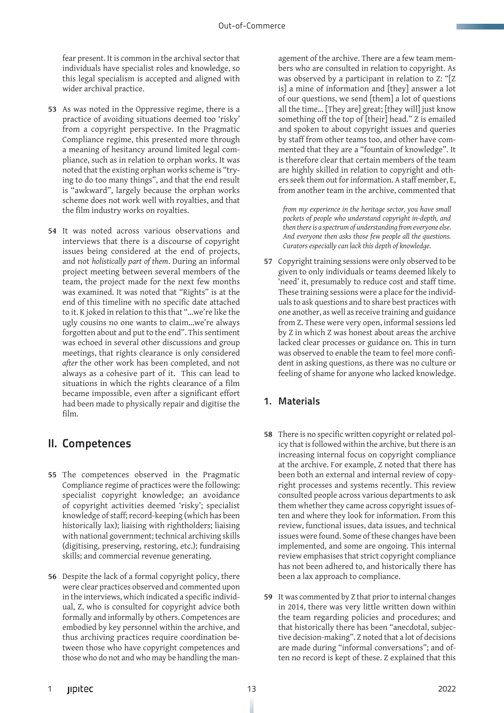fear present. It is common in the archival sector that individuals have specialist roles and knowledge, so this legal specialism is accepted and aligned with wider archival practice.

- **53** As was noted in the Oppressive regime, there is a practice of avoiding situations deemed too 'risky' from a copyright perspective. In the Pragmatic Compliance regime, this presented more through a meaning of hesitancy around limited legal compliance, such as in relation to orphan works. It was noted that the existing orphan works scheme is "trying to do too many things", and that the end result is "awkward", largely because the orphan works scheme does not work well with royalties, and that the film industry works on royalties.
- **54** It was noted across various observations and interviews that there is a discourse of copyright issues being considered at the end of projects, and not *holistically part of them*. During an informal project meeting between several members of the team, the project made for the next few months was examined. It was noted that "Rights" is at the end of this timeline with no specific date attached to it. K joked in relation to this that "…we're like the ugly cousins no one wants to claim…we're always forgotten about and put to the end". This sentiment was echoed in several other discussions and group meetings, that rights clearance is only considered *after* the other work has been completed, and not always as a cohesive part of it. This can lead to situations in which the rights clearance of a film became impossible, even after a significant effort had been made to physically repair and digitise the film.

### II. Competences

- **55** The competences observed in the Pragmatic Compliance regime of practices were the following: specialist copyright knowledge; an avoidance of copyright activities deemed 'risky'; specialist knowledge of staff; record-keeping (which has been historically lax); liaising with rightholders; liaising with national government; technical archiving skills (digitising, preserving, restoring, etc.); fundraising skills; and commercial revenue generating.
- **56** Despite the lack of a formal copyright policy, there were clear practices observed and commented upon in the interviews, which indicated a specific individual, Z, who is consulted for copyright advice both formally and informally by others. Competences are embodied by key personnel within the archive, and thus archiving practices require coordination between those who have copyright competences and those who do not and who may be handling the man-

agement of the archive. There are a few team members who are consulted in relation to copyright. As was observed by a participant in relation to Z: "[Z is] a mine of information and [they] answer a lot of our questions, we send [them] a lot of questions all the time… [They are] great; [they will] just know something off the top of [their] head." Z is emailed and spoken to about copyright issues and queries by staff from other teams too, and other have commented that they are a "fountain of knowledge". It is therefore clear that certain members of the team are highly skilled in relation to copyright and others seek them out for information. A staff member, E, from another team in the archive, commented that

*from my experience in the heritage sector, you have small pockets of people who understand copyright in-depth, and then there is a spectrum of understanding from everyone else. And everyone then asks those few people all the questions. Curators especially can lack this depth of knowledge.*

**57** Copyright training sessions were only observed to be given to only individuals or teams deemed likely to 'need' it, presumably to reduce cost and staff time. These training sessions were a place for the individuals to ask questions and to share best practices with one another, as well as receive training and guidance from Z. These were very open, informal sessions led by Z in which Z was honest about areas the archive lacked clear processes or guidance on. This in turn was observed to enable the team to feel more confident in asking questions, as there was no culture or feeling of shame for anyone who lacked knowledge.

#### 1. Materials

- **58** There is no specific written copyright or related policy that is followed within the archive, but there is an increasing internal focus on copyright compliance at the archive. For example, Z noted that there has been both an external and internal review of copyright processes and systems recently. This review consulted people across various departments to ask them whether they came across copyright issues often and where they look for information. From this review, functional issues, data issues, and technical issues were found. Some of these changes have been implemented, and some are ongoing. This internal review emphasises that strict copyright compliance has not been adhered to, and historically there has been a lax approach to compliance.
- **59** It was commented by Z that prior to internal changes in 2014, there was very little written down within the team regarding policies and procedures; and that historically there has been "anecdotal, subjective decision-making". Z noted that a lot of decisions are made during "informal conversations"; and often no record is kept of these. Z explained that this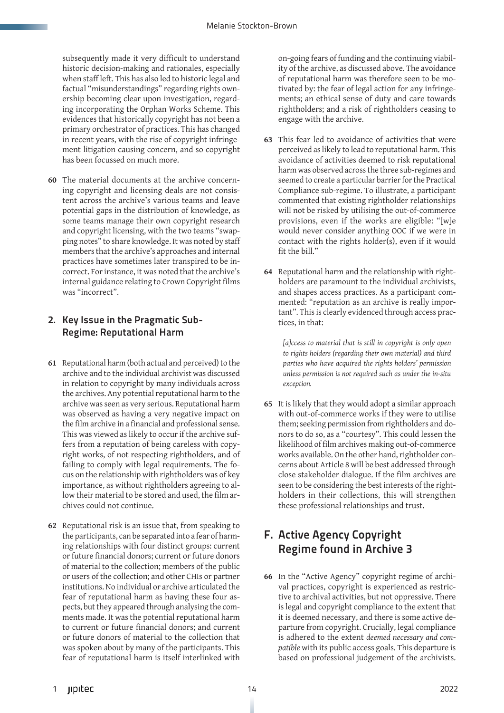subsequently made it very difficult to understand historic decision-making and rationales, especially when staff left. This has also led to historic legal and factual "misunderstandings" regarding rights ownership becoming clear upon investigation, regarding incorporating the Orphan Works Scheme. This evidences that historically copyright has not been a primary orchestrator of practices. This has changed in recent years, with the rise of copyright infringement litigation causing concern, and so copyright has been focussed on much more.

**60** The material documents at the archive concerning copyright and licensing deals are not consistent across the archive's various teams and leave potential gaps in the distribution of knowledge, as some teams manage their own copyright research and copyright licensing, with the two teams "swapping notes" to share knowledge. It was noted by staff members that the archive's approaches and internal practices have sometimes later transpired to be incorrect. For instance, it was noted that the archive's internal guidance relating to Crown Copyright films was "incorrect".

#### 2. Key Issue in the Pragmatic Sub-Regime: Reputational Harm

- **61** Reputational harm (both actual and perceived) to the archive and to the individual archivist was discussed in relation to copyright by many individuals across the archives. Any potential reputational harm to the archive was seen as very serious. Reputational harm was observed as having a very negative impact on the film archive in a financial and professional sense. This was viewed as likely to occur if the archive suffers from a reputation of being careless with copyright works, of not respecting rightholders, and of failing to comply with legal requirements. The focus on the relationship with rightholders was of key importance, as without rightholders agreeing to allow their material to be stored and used, the film archives could not continue.
- **62** Reputational risk is an issue that, from speaking to the participants, can be separated into a fear of harming relationships with four distinct groups: current or future financial donors; current or future donors of material to the collection; members of the public or users of the collection; and other CHIs or partner institutions. No individual or archive articulated the fear of reputational harm as having these four aspects, but they appeared through analysing the comments made. It was the potential reputational harm to current or future financial donors; and current or future donors of material to the collection that was spoken about by many of the participants. This fear of reputational harm is itself interlinked with

on-going fears of funding and the continuing viability of the archive, as discussed above. The avoidance of reputational harm was therefore seen to be motivated by: the fear of legal action for any infringements; an ethical sense of duty and care towards rightholders; and a risk of rightholders ceasing to engage with the archive.

- **63** This fear led to avoidance of activities that were perceived as likely to lead to reputational harm. This avoidance of activities deemed to risk reputational harm was observed across the three sub-regimes and seemed to create a particular barrier for the Practical Compliance sub-regime. To illustrate, a participant commented that existing rightholder relationships will not be risked by utilising the out-of-commerce provisions, even if the works are eligible: "[w]e would never consider anything OOC if we were in contact with the rights holder(s), even if it would fit the bill."
- **64** Reputational harm and the relationship with rightholders are paramount to the individual archivists, and shapes access practices. As a participant commented: "reputation as an archive is really important". This is clearly evidenced through access practices, in that:

*[a]ccess to material that is still in copyright is only open to rights holders (regarding their own material) and third parties who have acquired the rights holders' permission unless permission is not required such as under the in-situ exception.*

**65** It is likely that they would adopt a similar approach with out-of-commerce works if they were to utilise them; seeking permission from rightholders and donors to do so, as a "courtesy". This could lessen the likelihood of film archives making out-of-commerce works available. On the other hand, rightholder concerns about Article 8 will be best addressed through close stakeholder dialogue. If the film archives are seen to be considering the best interests of the rightholders in their collections, this will strengthen these professional relationships and trust.

# F. Active Agency Copyright Regime found in Archive 3

**66** In the "Active Agency" copyright regime of archival practices, copyright is experienced as restrictive to archival activities, but not oppressive. There is legal and copyright compliance to the extent that it is deemed necessary, and there is some active departure from copyright. Crucially, legal compliance is adhered to the extent *deemed necessary and compatible* with its public access goals. This departure is based on professional judgement of the archivists.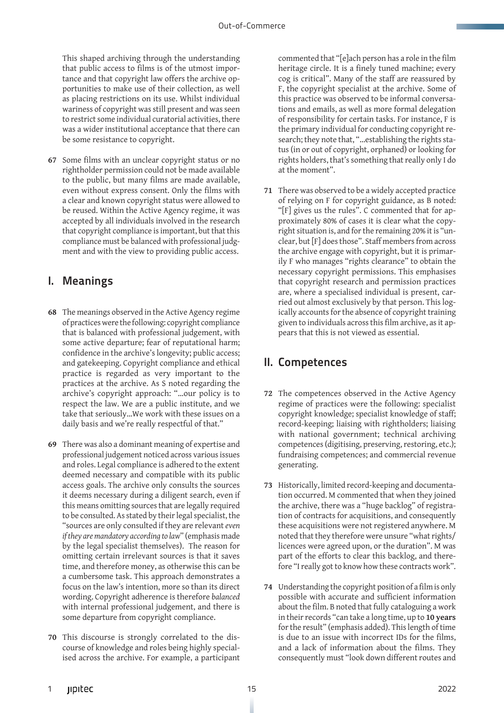This shaped archiving through the understanding that public access to films is of the utmost importance and that copyright law offers the archive opportunities to make use of their collection, as well as placing restrictions on its use. Whilst individual wariness of copyright was still present and was seen to restrict some individual curatorial activities, there was a wider institutional acceptance that there can be some resistance to copyright.

**67** Some films with an unclear copyright status or no rightholder permission could not be made available to the public, but many films are made available, even without express consent. Only the films with a clear and known copyright status were allowed to be reused. Within the Active Agency regime, it was accepted by all individuals involved in the research that copyright compliance is important, but that this compliance must be balanced with professional judgment and with the view to providing public access.

## I. Meanings

- **68** The meanings observed in the Active Agency regime of practices were the following: copyright compliance that is balanced with professional judgement, with some active departure; fear of reputational harm; confidence in the archive's longevity; public access; and gatekeeping. Copyright compliance and ethical practice is regarded as very important to the practices at the archive. As S noted regarding the archive's copyright approach: "…our policy is to respect the law. We are a public institute, and we take that seriously…We work with these issues on a daily basis and we're really respectful of that."
- **69** There was also a dominant meaning of expertise and professional judgement noticed across various issues and roles. Legal compliance is adhered to the extent deemed necessary and compatible with its public access goals. The archive only consults the sources it deems necessary during a diligent search, even if this means omitting sources that are legally required to be consulted. As stated by their legal specialist, the "sources are only consulted if they are relevant *even if they are mandatory according to law*" (emphasis made by the legal specialist themselves). The reason for omitting certain irrelevant sources is that it saves time, and therefore money, as otherwise this can be a cumbersome task. This approach demonstrates a focus on the law's intention, more so than its direct wording. Copyright adherence is therefore *balanced* with internal professional judgement, and there is some departure from copyright compliance.
- **70** This discourse is strongly correlated to the discourse of knowledge and roles being highly specialised across the archive. For example, a participant

commented that "[e]ach person has a role in the film heritage circle. It is a finely tuned machine; every cog is critical". Many of the staff are reassured by F, the copyright specialist at the archive. Some of this practice was observed to be informal conversations and emails, as well as more formal delegation of responsibility for certain tasks. For instance, F is the primary individual for conducting copyright research; they note that, "…establishing the rights status (in or out of copyright, orphaned) or looking for rights holders, that's something that really only I do at the moment".

**71** There was observed to be a widely accepted practice of relying on F for copyright guidance, as B noted: "[F] gives us the rules". C commented that for approximately 80% of cases it is clear what the copyright situation is, and for the remaining 20% it is "unclear, but [F] does those". Staff members from across the archive engage with copyright, but it is primarily F who manages "rights clearance" to obtain the necessary copyright permissions. This emphasises that copyright research and permission practices are, where a specialised individual is present, carried out almost exclusively by that person. This logically accounts for the absence of copyright training given to individuals across this film archive, as it appears that this is not viewed as essential.

## II. Competences

- **72** The competences observed in the Active Agency regime of practices were the following: specialist copyright knowledge; specialist knowledge of staff; record-keeping; liaising with rightholders; liaising with national government; technical archiving competences (digitising, preserving, restoring, etc.); fundraising competences; and commercial revenue generating.
- **73** Historically, limited record-keeping and documentation occurred. M commented that when they joined the archive, there was a "huge backlog" of registration of contracts for acquisitions, and consequently these acquisitions were not registered anywhere. M noted that they therefore were unsure "what rights/ licences were agreed upon, or the duration". M was part of the efforts to clear this backlog, and therefore "I really got to know how these contracts work".
- **74** Understanding the copyright position of a film is only possible with accurate and sufficient information about the film. B noted that fully cataloguing a work in their records "can take a long time, up to **10 years** for the result" (emphasis added). This length of time is due to an issue with incorrect IDs for the films, and a lack of information about the films. They consequently must "look down different routes and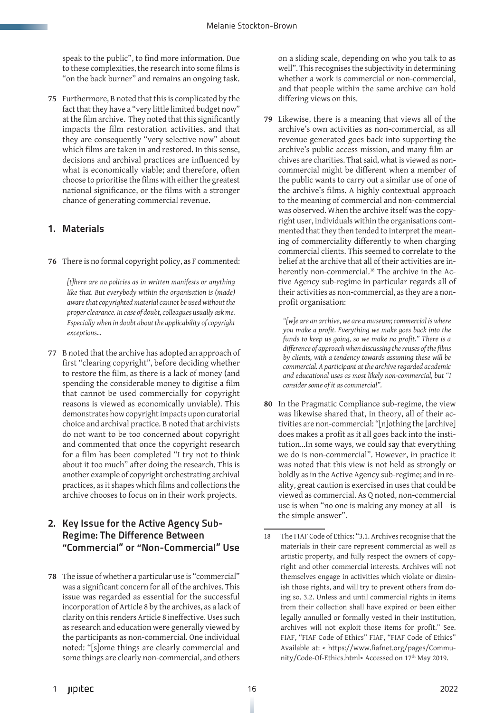speak to the public", to find more information. Due to these complexities, the research into some films is "on the back burner" and remains an ongoing task.

**75** Furthermore, B noted that this is complicated by the fact that they have a "very little limited budget now" at the film archive. They noted that this significantly impacts the film restoration activities, and that they are consequently "very selective now" about which films are taken in and restored. In this sense, decisions and archival practices are influenced by what is economically viable; and therefore, often choose to prioritise the films with either the greatest national significance, or the films with a stronger chance of generating commercial revenue.

#### 1. Materials

**76** There is no formal copyright policy, as F commented:

*[t]here are no policies as in written manifests or anything like that. But everybody within the organisation is (made) aware that copyrighted material cannot be used without the proper clearance. In case of doubt, colleagues usually ask me. Especially when in doubt about the applicability of copyright exceptions…*

**77** B noted that the archive has adopted an approach of first "clearing copyright", before deciding whether to restore the film, as there is a lack of money (and spending the considerable money to digitise a film that cannot be used commercially for copyright reasons is viewed as economically unviable). This demonstrates how copyright impacts upon curatorial choice and archival practice. B noted that archivists do not want to be too concerned about copyright and commented that once the copyright research for a film has been completed "I try not to think about it too much" after doing the research. This is another example of copyright orchestrating archival practices, as it shapes which films and collections the archive chooses to focus on in their work projects.

#### 2. Key Issue for the Active Agency Sub-Regime: The Difference Between "Commercial" or "Non-Commercial" Use

**78** The issue of whether a particular use is "commercial" was a significant concern for all of the archives. This issue was regarded as essential for the successful incorporation of Article 8 by the archives, as a lack of clarity on this renders Article 8 ineffective. Uses such as research and education were generally viewed by the participants as non-commercial. One individual noted: "[s]ome things are clearly commercial and some things are clearly non-commercial, and others

on a sliding scale, depending on who you talk to as well". This recognises the subjectivity in determining whether a work is commercial or non-commercial, and that people within the same archive can hold differing views on this.

**79** Likewise, there is a meaning that views all of the archive's own activities as non-commercial, as all revenue generated goes back into supporting the archive's public access mission, and many film archives are charities. That said, what is viewed as noncommercial might be different when a member of the public wants to carry out a similar use of one of the archive's films. A highly contextual approach to the meaning of commercial and non-commercial was observed. When the archive itself was the copyright user, individuals within the organisations commented that they then tended to interpret the meaning of commerciality differently to when charging commercial clients. This seemed to correlate to the belief at the archive that all of their activities are inherently non-commercial.<sup>18</sup> The archive in the Active Agency sub-regime in particular regards all of their activities as non-commercial, as they are a nonprofit organisation:

*"[w]e are an archive, we are a museum; commercial is where you make a profit. Everything we make goes back into the funds to keep us going, so we make no profit." There is a difference of approach when discussing the reuses of the films by clients, with a tendency towards assuming these will be commercial. A participant at the archive regarded academic and educational uses as most likely non-commercial, but "I consider some of it as commercial".* 

**80** In the Pragmatic Compliance sub-regime, the view was likewise shared that, in theory, all of their activities are non-commercial: "[n]othing the [archive] does makes a profit as it all goes back into the institution…In some ways, we could say that everything we do is non-commercial". However, in practice it was noted that this view is not held as strongly or boldly as in the Active Agency sub-regime; and in reality, great caution is exercised in uses that could be viewed as commercial. As Q noted, non-commercial use is when "no one is making any money at all – is the simple answer".

<sup>18</sup> The FIAF Code of Ethics: "3.1. Archives recognise that the materials in their care represent commercial as well as artistic property, and fully respect the owners of copyright and other commercial interests. Archives will not themselves engage in activities which violate or diminish those rights, and will try to prevent others from doing so. 3.2. Unless and until commercial rights in items from their collection shall have expired or been either legally annulled or formally vested in their institution, archives will not exploit those items for profit." See. FIAF, "FIAF Code of Ethics" FIAF, "FIAF Code of Ethics" Available at: < https://www.fiafnet.org/pages/Community/Code-Of-Ethics.html> Accessed on 17<sup>th</sup> May 2019.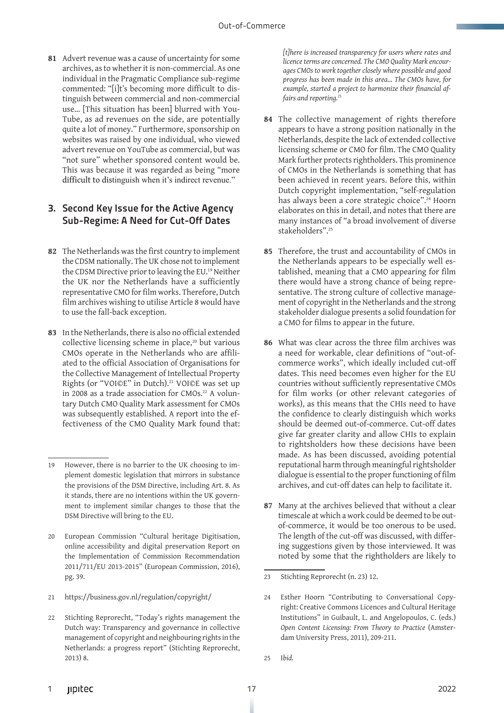**81** Advert revenue was a cause of uncertainty for some archives, as to whether it is non-commercial. As one individual in the Pragmatic Compliance sub-regime commented: "[i]t's becoming more difficult to distinguish between commercial and non-commercial use… [This situation has been] blurred with You-Tube, as ad revenues on the side, are potentially quite a lot of money." Furthermore, sponsorship on websites was raised by one individual, who viewed advert revenue on YouTube as commercial, but was "not sure" whether sponsored content would be. This was because it was regarded as being "more difficult to distinguish when it's indirect revenue."

#### 3. Second Key Issue for the Active Agency Sub-Regime: A Need for Cut-Off Dates

- **82** The Netherlands was the first country to implement the CDSM nationally. The UK chose not to implement the CDSM Directive prior to leaving the EU.19 Neither the UK nor the Netherlands have a sufficiently representative CMO for film works. Therefore, Dutch film archives wishing to utilise Article 8 would have to use the fall-back exception.
- **83** In the Netherlands, there is also no official extended collective licensing scheme in place,<sup>20</sup> but various CMOs operate in the Netherlands who are affiliated to the official Association of Organisations for the Collective Management of Intellectual Property Rights (or "VOI©E" in Dutch).<sup>21</sup> VOI©E was set up in 2008 as a trade association for CMOs.<sup>22</sup> A voluntary Dutch CMO Quality Mark assessment for CMOs was subsequently established. A report into the effectiveness of the CMO Quality Mark found that:

- 21 https://business.gov.nl/regulation/copyright/
- 22 Stichting Reprorecht, "Today's rights management the Dutch way: Transparency and governance in collective management of copyright and neighbouring rights in the Netherlands: a progress report" (Stichting Reprorecht, 2013) 8.

*[t]here is increased transparency for users where rates and licence terms are concerned. The CMO Quality Mark encourages CMOs to work together closely where possible and good progress has been made in this area... The CMOs have, for example, started a project to harmonize their financial affairs and reporting.<sup>23</sup>*

- **84** The collective management of rights therefore appears to have a strong position nationally in the Netherlands, despite the lack of extended collective licensing scheme or CMO for film. The CMO Quality Mark further protects rightholders. This prominence of CMOs in the Netherlands is something that has been achieved in recent years. Before this, within Dutch copyright implementation, "self-regulation has always been a core strategic choice".<sup>24</sup> Hoorn elaborates on this in detail, and notes that there are many instances of "a broad involvement of diverse stakeholders".25
- **85** Therefore, the trust and accountability of CMOs in the Netherlands appears to be especially well established, meaning that a CMO appearing for film there would have a strong chance of being representative. The strong culture of collective management of copyright in the Netherlands and the strong stakeholder dialogue presents a solid foundation for a CMO for films to appear in the future.
- **86** What was clear across the three film archives was a need for workable, clear definitions of "out-ofcommerce works", which ideally included cut-off dates. This need becomes even higher for the EU countries without sufficiently representative CMOs for film works (or other relevant categories of works), as this means that the CHIs need to have the confidence to clearly distinguish which works should be deemed out-of-commerce. Cut-off dates give far greater clarity and allow CHIs to explain to rightsholders how these decisions have been made. As has been discussed, avoiding potential reputational harm through meaningful rightsholder dialogue is essential to the proper functioning of film archives, and cut-off dates can help to facilitate it.
- **87** Many at the archives believed that without a clear timescale at which a work could be deemed to be outof-commerce, it would be too onerous to be used. The length of the cut-off was discussed, with differing suggestions given by those interviewed. It was noted by some that the rightholders are likely to

23 Stichting Reprorecht (n. 23) 12.

25 I*bid.*

<sup>19</sup> However, there is no barrier to the UK choosing to implement domestic legislation that mirrors in substance the provisions of the DSM Directive, including Art. 8. As it stands, there are no intentions within the UK government to implement similar changes to those that the DSM Directive will bring to the EU.

<sup>20</sup> European Commission "Cultural heritage Digitisation, online accessibility and digital preservation Report on the Implementation of Commission Recommendation 2011/711/EU 2013-2015" (European Commission, 2016), pg. 39.

<sup>24</sup> Esther Hoorn "Contributing to Conversational Copyright: Creative Commons Licences and Cultural Heritage Institutions" in Guibault, L. and Angelopoulos, C. (eds.) *Open Content Licensing: From Theory to Practice* (Amsterdam University Press, 2011), 209-211.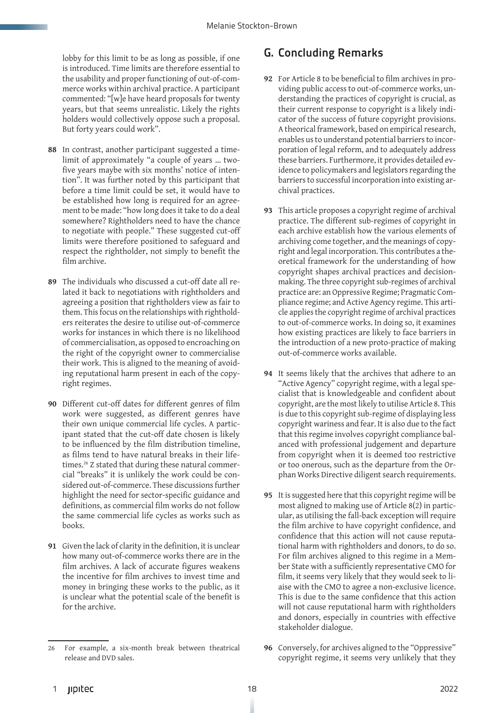lobby for this limit to be as long as possible, if one is introduced. Time limits are therefore essential to the usability and proper functioning of out-of-commerce works within archival practice. A participant commented: "[w]e have heard proposals for twenty years, but that seems unrealistic. Likely the rights holders would collectively oppose such a proposal. But forty years could work".

- **88** In contrast, another participant suggested a timelimit of approximately "a couple of years … twofive years maybe with six months' notice of intention". It was further noted by this participant that before a time limit could be set, it would have to be established how long is required for an agreement to be made: "how long does it take to do a deal somewhere? Rightholders need to have the chance to negotiate with people." These suggested cut-off limits were therefore positioned to safeguard and respect the rightholder, not simply to benefit the film archive.
- **89** The individuals who discussed a cut-off date all related it back to negotiations with rightholders and agreeing a position that rightholders view as fair to them. This focus on the relationships with rightholders reiterates the desire to utilise out-of-commerce works for instances in which there is no likelihood of commercialisation, as opposed to encroaching on the right of the copyright owner to commercialise their work. This is aligned to the meaning of avoiding reputational harm present in each of the copyright regimes.
- **90** Different cut-off dates for different genres of film work were suggested, as different genres have their own unique commercial life cycles. A participant stated that the cut-off date chosen is likely to be influenced by the film distribution timeline, as films tend to have natural breaks in their lifetimes.<sup>26</sup> Z stated that during these natural commercial "breaks" it is unlikely the work could be considered out-of-commerce. These discussions further highlight the need for sector-specific guidance and definitions, as commercial film works do not follow the same commercial life cycles as works such as books.
- **91** Given the lack of clarity in the definition, it is unclear how many out-of-commerce works there are in the film archives. A lack of accurate figures weakens the incentive for film archives to invest time and money in bringing these works to the public, as it is unclear what the potential scale of the benefit is for the archive.

# G. Concluding Remarks

- **92** For Article 8 to be beneficial to film archives in providing public access to out-of-commerce works, understanding the practices of copyright is crucial, as their current response to copyright is a likely indicator of the success of future copyright provisions. A theorical framework, based on empirical research, enables us to understand potential barriers to incorporation of legal reform, and to adequately address these barriers. Furthermore, it provides detailed evidence to policymakers and legislators regarding the barriers to successful incorporation into existing archival practices.
- **93** This article proposes a copyright regime of archival practice. The different sub-regimes of copyright in each archive establish how the various elements of archiving come together, and the meanings of copyright and legal incorporation. This contributes a theoretical framework for the understanding of how copyright shapes archival practices and decisionmaking. The three copyright sub-regimes of archival practice are: an Oppressive Regime; Pragmatic Compliance regime; and Active Agency regime. This article applies the copyright regime of archival practices to out-of-commerce works. In doing so, it examines how existing practices are likely to face barriers in the introduction of a new proto-practice of making out-of-commerce works available.
- **94** It seems likely that the archives that adhere to an "Active Agency" copyright regime, with a legal specialist that is knowledgeable and confident about copyright, are the most likely to utilise Article 8. This is due to this copyright sub-regime of displaying less copyright wariness and fear. It is also due to the fact that this regime involves copyright compliance balanced with professional judgement and departure from copyright when it is deemed too restrictive or too onerous, such as the departure from the Orphan Works Directive diligent search requirements.
- **95** It is suggested here that this copyright regime will be most aligned to making use of Article 8(2) in particular, as utilising the fall-back exception will require the film archive to have copyright confidence, and confidence that this action will not cause reputational harm with rightholders and donors, to do so. For film archives aligned to this regime in a Member State with a sufficiently representative CMO for film, it seems very likely that they would seek to liaise with the CMO to agree a non-exclusive licence. This is due to the same confidence that this action will not cause reputational harm with rightholders and donors, especially in countries with effective stakeholder dialogue.
- **96** Conversely, for archives aligned to the "Oppressive" copyright regime, it seems very unlikely that they

<sup>26</sup> For example, a six-month break between theatrical release and DVD sales.